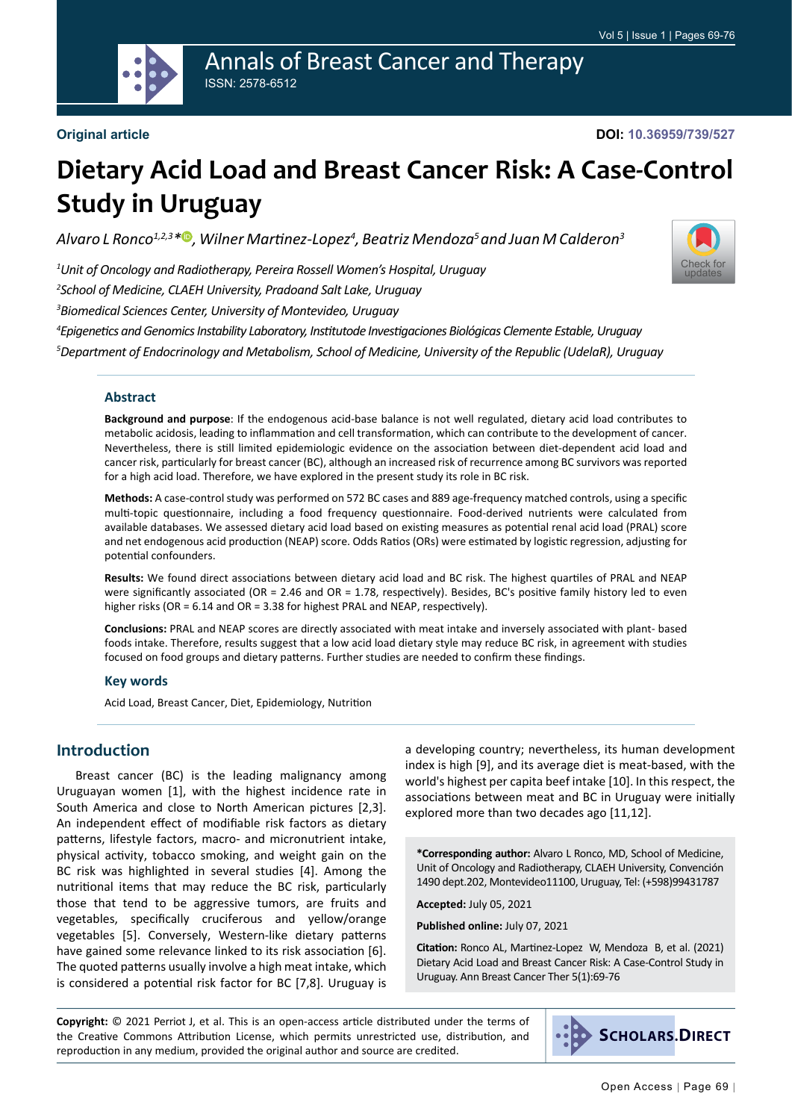

#### **Original article**

**DOI: 10.36959/739/527**

[Check for](http://crossmark.crossref.org/dialog/?doi=10.36959/739/527&domain=pdf) updates

# **Dietary Acid Load and Breast Cancer Risk: A Case-Control Study in Uruguay**

*Alvaro L Ronco1,2,3[\\*](https://orcid.org/0000-0002-6328-1482) , Wilner Martinez-Lopez<sup>4</sup> , Beatriz Mendoza<sup>5</sup>and Juan M Calderon<sup>3</sup>*

*1 Unit of Oncology and Radiotherapy, Pereira Rossell Women's Hospital, Uruguay*

*2 School of Medicine, CLAEH University, Pradoand Salt Lake, Uruguay*

*3 Biomedical Sciences Center, University of Montevideo, Uruguay*

*4 Epigenetics and Genomics Instability Laboratory, Institutode Investigaciones Biológicas Clemente Estable, Uruguay 5 Department of Endocrinology and Metabolism, School of Medicine, University of the Republic (UdelaR), Uruguay*

#### **Abstract**

**Background and purpose**: If the endogenous acid-base balance is not well regulated, dietary acid load contributes to metabolic acidosis, leading to inflammation and cell transformation, which can contribute to the development of cancer. Nevertheless, there is still limited epidemiologic evidence on the association between diet-dependent acid load and cancer risk, particularly for breast cancer (BC), although an increased risk of recurrence among BC survivors was reported for a high acid load. Therefore, we have explored in the present study its role in BC risk.

**Methods:** A case-control study was performed on 572 BC cases and 889 age-frequency matched controls, using a specific multi-topic questionnaire, including a food frequency questionnaire. Food-derived nutrients were calculated from available databases. We assessed dietary acid load based on existing measures as potential renal acid load (PRAL) score and net endogenous acid production (NEAP) score. Odds Ratios (ORs) were estimated by logistic regression, adjusting for potential confounders.

**Results:** We found direct associations between dietary acid load and BC risk. The highest quartiles of PRAL and NEAP were significantly associated (OR = 2.46 and OR = 1.78, respectively). Besides, BC's positive family history led to even higher risks (OR = 6.14 and OR = 3.38 for highest PRAL and NEAP, respectively).

**Conclusions:** PRAL and NEAP scores are directly associated with meat intake and inversely associated with plant- based foods intake. Therefore, results suggest that a low acid load dietary style may reduce BC risk, in agreement with studies focused on food groups and dietary patterns. Further studies are needed to confirm these findings.

#### **Key words**

Acid Load, Breast Cancer, Diet, Epidemiology, Nutrition

### **Introduction**

Breast cancer (BC) is the leading malignancy among Uruguayan women [1], with the highest incidence rate in South America and close to North American pictures [2,3]. An independent effect of modifiable risk factors as dietary patterns, lifestyle factors, macro- and micronutrient intake, physical activity, tobacco smoking, and weight gain on the BC risk was highlighted in several studies [4]. Among the nutritional items that may reduce the BC risk, particularly those that tend to be aggressive tumors, are fruits and vegetables, specifically cruciferous and yellow/orange vegetables [5]. Conversely, Western-like dietary patterns have gained some relevance linked to its risk association [6]. The quoted patterns usually involve a high meat intake, which is considered a potential risk factor for BC [7,8]. Uruguay is

a developing country; nevertheless, its human development index is high [9], and its average diet is meat-based, with the world's highest per capita beef intake [10]. In this respect, the associations between meat and BC in Uruguay were initially explored more than two decades ago [11,12].

**\*Corresponding author:** Alvaro L Ronco, MD, School of Medicine, Unit of Oncology and Radiotherapy, CLAEH University, Convención 1490 dept.202, Montevideo11100, Uruguay, Tel: (+598)99431787

**Accepted:** July 05, 2021

**Published online:** July 07, 2021

**Citation:** Ronco AL, Martinez-Lopez W, Mendoza B, et al. (2021) Dietary Acid Load and Breast Cancer Risk: A Case-Control Study in Uruguay. Ann Breast Cancer Ther 5(1):69-76

**Copyright:** © 2021 Perriot J, et al. This is an open-access article distributed under the terms of the Creative Commons Attribution License, which permits unrestricted use, distribution, and reproduction in any medium, provided the original author and source are credited.

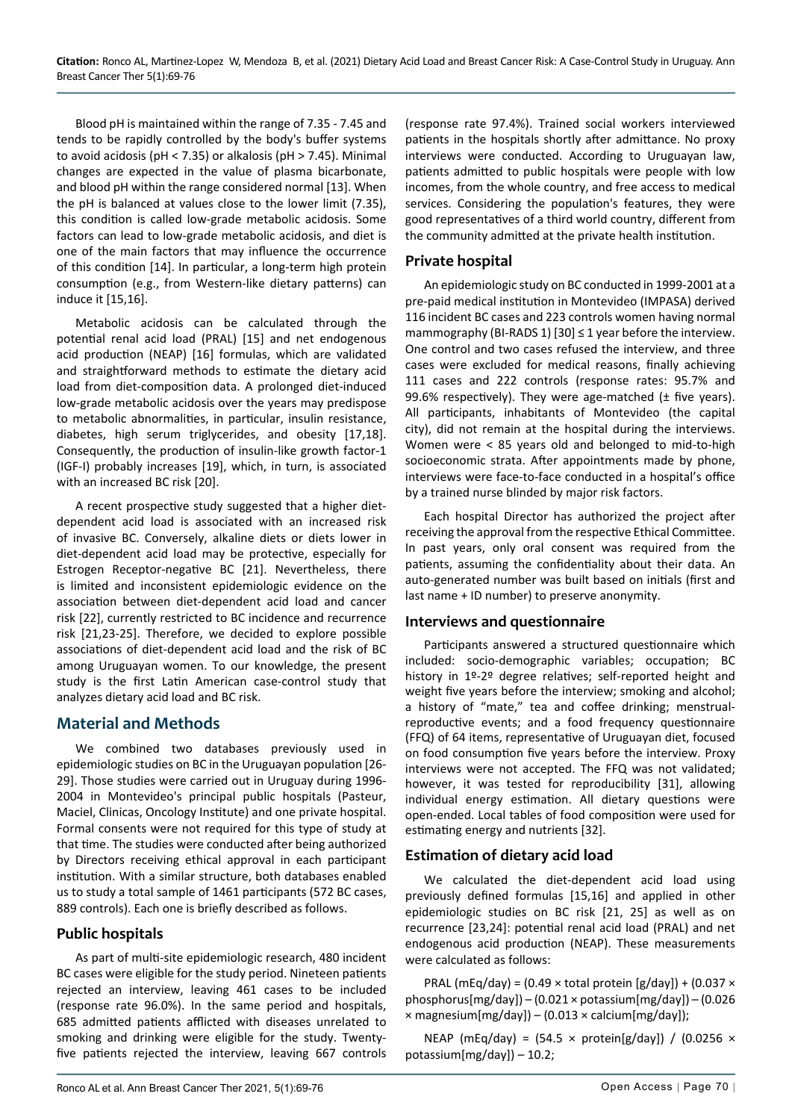Blood pH is maintained within the range of 7.35 - 7.45 and tends to be rapidly controlled by the body's buffer systems to avoid acidosis (pH < 7.35) or alkalosis (pH > 7.45). Minimal changes are expected in the value of plasma bicarbonate, and blood pH within the range considered normal [13]. When the pH is balanced at values close to the lower limit (7.35), this condition is called low-grade metabolic acidosis. Some factors can lead to low-grade metabolic acidosis, and diet is one of the main factors that may influence the occurrence of this condition [14]. In particular, a long-term high protein consumption (e.g., from Western-like dietary patterns) can induce it [15,16].

Metabolic acidosis can be calculated through the potential renal acid load (PRAL) [15] and net endogenous acid production (NEAP) [16] formulas, which are validated and straightforward methods to estimate the dietary acid load from diet-composition data. A prolonged diet-induced low-grade metabolic acidosis over the years may predispose to metabolic abnormalities, in particular, insulin resistance, diabetes, high serum triglycerides, and obesity [17,18]. Consequently, the production of insulin-like growth factor-1 (IGF-I) probably increases [19], which, in turn, is associated with an increased BC risk [20].

A recent prospective study suggested that a higher dietdependent acid load is associated with an increased risk of invasive BC. Conversely, alkaline diets or diets lower in diet-dependent acid load may be protective, especially for Estrogen Receptor-negative BC [21]. Nevertheless, there is limited and inconsistent epidemiologic evidence on the association between diet-dependent acid load and cancer risk [22], currently restricted to BC incidence and recurrence risk [21,23-25]. Therefore, we decided to explore possible associations of diet-dependent acid load and the risk of BC among Uruguayan women. To our knowledge, the present study is the first Latin American case-control study that analyzes dietary acid load and BC risk.

## **Material and Methods**

We combined two databases previously used in epidemiologic studies on BC in the Uruguayan population [26- 29]. Those studies were carried out in Uruguay during 1996- 2004 in Montevideo's principal public hospitals (Pasteur, Maciel, Clinicas, Oncology Institute) and one private hospital. Formal consents were not required for this type of study at that time. The studies were conducted after being authorized by Directors receiving ethical approval in each participant institution. With a similar structure, both databases enabled us to study a total sample of 1461 participants (572 BC cases, 889 controls). Each one is briefly described as follows.

## **Public hospitals**

As part of multi-site epidemiologic research, 480 incident BC cases were eligible for the study period. Nineteen patients rejected an interview, leaving 461 cases to be included (response rate 96.0%). In the same period and hospitals, 685 admitted patients afflicted with diseases unrelated to smoking and drinking were eligible for the study. Twentyfive patients rejected the interview, leaving 667 controls

(response rate 97.4%). Trained social workers interviewed patients in the hospitals shortly after admittance. No proxy interviews were conducted. According to Uruguayan law, patients admitted to public hospitals were people with low incomes, from the whole country, and free access to medical services. Considering the population's features, they were good representatives of a third world country, different from the community admitted at the private health institution.

## **Private hospital**

An epidemiologic study on BC conducted in 1999-2001 at a pre-paid medical institution in Montevideo (IMPASA) derived 116 incident BC cases and 223 controls women having normal mammography (BI-RADS 1) [30]  $\leq$  1 year before the interview. One control and two cases refused the interview, and three cases were excluded for medical reasons, finally achieving 111 cases and 222 controls (response rates: 95.7% and 99.6% respectively). They were age-matched ( $\pm$  five years). All participants, inhabitants of Montevideo (the capital city), did not remain at the hospital during the interviews. Women were < 85 years old and belonged to mid-to-high socioeconomic strata. After appointments made by phone, interviews were face-to-face conducted in a hospital's office by a trained nurse blinded by major risk factors.

Each hospital Director has authorized the project after receiving the approval from the respective Ethical Committee. In past years, only oral consent was required from the patients, assuming the confidentiality about their data. An auto-generated number was built based on initials (first and last name + ID number) to preserve anonymity.

## **Interviews and questionnaire**

Participants answered a structured questionnaire which included: socio-demographic variables; occupation; BC history in 1º-2º degree relatives; self-reported height and weight five years before the interview; smoking and alcohol; a history of "mate," tea and coffee drinking; menstrualreproductive events; and a food frequency questionnaire (FFQ) of 64 items, representative of Uruguayan diet, focused on food consumption five years before the interview. Proxy interviews were not accepted. The FFQ was not validated; however, it was tested for reproducibility [31], allowing individual energy estimation. All dietary questions were open-ended. Local tables of food composition were used for estimating energy and nutrients [32].

## **Estimation of dietary acid load**

We calculated the diet-dependent acid load using previously defined formulas [15,16] and applied in other epidemiologic studies on BC risk [21, 25] as well as on recurrence [23,24]: potential renal acid load (PRAL) and net endogenous acid production (NEAP). These measurements were calculated as follows:

PRAL (mEq/day) =  $(0.49 \times \text{total protein [g/day]) + (0.037 \times$ phosphorus[mg/day]) – (0.021 × potassium[mg/day]) – (0.026  $\times$  magnesium[mg/day]) – (0.013  $\times$  calcium[mg/day]);

NEAP (mEq/day) =  $(54.5 \times$  protein[g/day]) /  $(0.0256 \times$ potassium[mg/day]) – 10.2;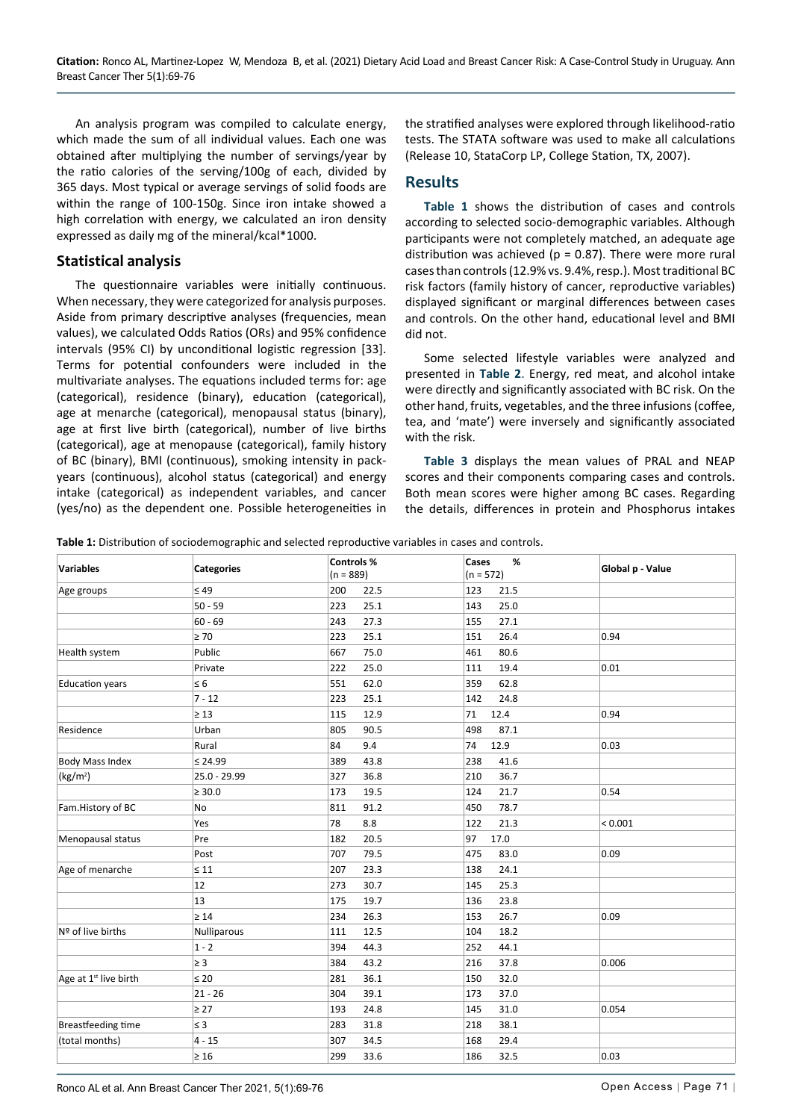An analysis program was compiled to calculate energy, which made the sum of all individual values. Each one was obtained after multiplying the number of servings/year by the ratio calories of the serving/100g of each, divided by 365 days. Most typical or average servings of solid foods are within the range of 100-150g. Since iron intake showed a high correlation with energy, we calculated an iron density expressed as daily mg of the mineral/kcal\*1000.

#### **Statistical analysis**

The questionnaire variables were initially continuous. When necessary, they were categorized for analysis purposes. Aside from primary descriptive analyses (frequencies, mean values), we calculated Odds Ratios (ORs) and 95% confidence intervals (95% CI) by unconditional logistic regression [33]. Terms for potential confounders were included in the multivariate analyses. The equations included terms for: age (categorical), residence (binary), education (categorical), age at menarche (categorical), menopausal status (binary), age at first live birth (categorical), number of live births (categorical), age at menopause (categorical), family history of BC (binary), BMI (continuous), smoking intensity in packyears (continuous), alcohol status (categorical) and energy intake (categorical) as independent variables, and cancer (yes/no) as the dependent one. Possible heterogeneities in the stratified analyses were explored through likelihood-ratio tests. The STATA software was used to make all calculations (Release 10, StataCorp LP, College Station, TX, 2007).

#### **Results**

**[Table 1](#page-2-0)** shows the distribution of cases and controls according to selected socio-demographic variables. Although participants were not completely matched, an adequate age distribution was achieved ( $p = 0.87$ ). There were more rural cases than controls (12.9% vs. 9.4%, resp.). Most traditional BC risk factors (family history of cancer, reproductive variables) displayed significant or marginal differences between cases and controls. On the other hand, educational level and BMI did not.

Some selected lifestyle variables were analyzed and presented in **[Table 2](#page-3-0)**. Energy, red meat, and alcohol intake were directly and significantly associated with BC risk. On the other hand, fruits, vegetables, and the three infusions (coffee, tea, and 'mate') were inversely and significantly associated with the risk.

**[Table 3](#page-3-1)** displays the mean values of PRAL and NEAP scores and their components comparing cases and controls. Both mean scores were higher among BC cases. Regarding the details, differences in protein and Phosphorus intakes

<span id="page-2-0"></span>**Table 1:** Distribution of sociodemographic and selected reproductive variables in cases and controls.

| <b>Variables</b>                  | <b>Categories</b> | Controls %  | %<br>Cases  | Global p - Value |
|-----------------------------------|-------------------|-------------|-------------|------------------|
|                                   |                   | $(n = 889)$ | $(n = 572)$ |                  |
| Age groups                        | $\leq 49$         | 200<br>22.5 | 123<br>21.5 |                  |
|                                   | $50 - 59$         | 223<br>25.1 | 25.0<br>143 |                  |
|                                   | $60 - 69$         | 243<br>27.3 | 155<br>27.1 |                  |
|                                   | $\geq 70$         | 223<br>25.1 | 151<br>26.4 | 0.94             |
| Health system                     | Public            | 667<br>75.0 | 461<br>80.6 |                  |
|                                   | Private           | 25.0<br>222 | 19.4<br>111 | 0.01             |
| <b>Education years</b>            | $\leq 6$          | 551<br>62.0 | 359<br>62.8 |                  |
|                                   | $7 - 12$          | 223<br>25.1 | 142<br>24.8 |                  |
|                                   | $\geq 13$         | 115<br>12.9 | 12.4<br>71  | 0.94             |
| Residence                         | Urban             | 805<br>90.5 | 498<br>87.1 |                  |
|                                   | Rural             | 84<br>9.4   | 12.9<br>74  | 0.03             |
| Body Mass Index                   | $\leq 24.99$      | 389<br>43.8 | 238<br>41.6 |                  |
| (kg/m <sup>2</sup> )              | 25.0 - 29.99      | 327<br>36.8 | 36.7<br>210 |                  |
|                                   | $\geq 30.0$       | 173<br>19.5 | 21.7<br>124 | 0.54             |
| Fam.History of BC                 | No                | 811<br>91.2 | 450<br>78.7 |                  |
|                                   | Yes               | 78<br>8.8   | 122<br>21.3 | < 0.001          |
| Menopausal status                 | Pre               | 182<br>20.5 | 97<br>17.0  |                  |
|                                   | Post              | 707<br>79.5 | 475<br>83.0 | 0.09             |
| Age of menarche                   | $\leq 11$         | 207<br>23.3 | 138<br>24.1 |                  |
|                                   | 12                | 273<br>30.7 | 145<br>25.3 |                  |
|                                   | 13                | 175<br>19.7 | 136<br>23.8 |                  |
|                                   | $\geq 14$         | 234<br>26.3 | 153<br>26.7 | 0.09             |
| Nº of live births                 | Nulliparous       | 111<br>12.5 | 104<br>18.2 |                  |
|                                   | $1 - 2$           | 44.3<br>394 | 252<br>44.1 |                  |
|                                   | $\geq$ 3          | 384<br>43.2 | 37.8<br>216 | 0.006            |
| Age at 1 <sup>st</sup> live birth | $\leq 20$         | 36.1<br>281 | 150<br>32.0 |                  |
|                                   | $21 - 26$         | 39.1<br>304 | 173<br>37.0 |                  |
|                                   | $\geq 27$         | 193<br>24.8 | 145<br>31.0 | 0.054            |
| Breastfeeding time                | $\leq 3$          | 283<br>31.8 | 38.1<br>218 |                  |
| (total months)                    | $4 - 15$          | 307<br>34.5 | 168<br>29.4 |                  |
|                                   | $\geq 16$         | 299<br>33.6 | 186<br>32.5 | 0.03             |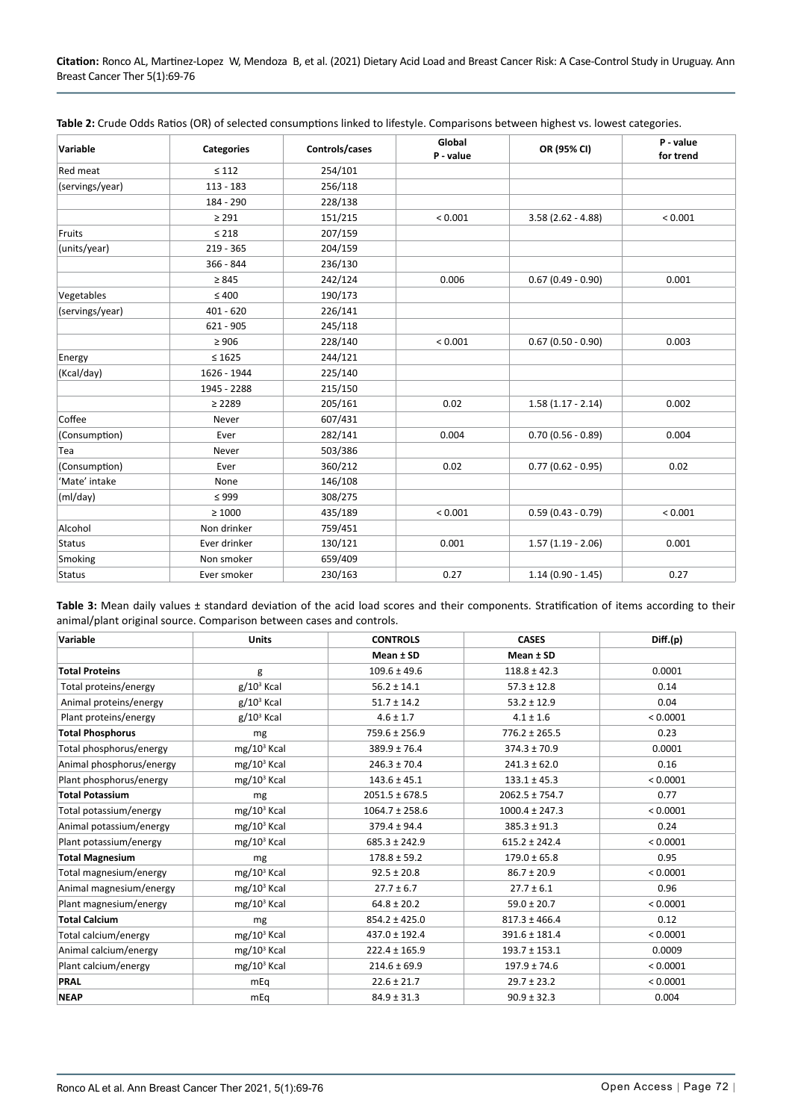| Variable        | <b>Categories</b> | Controls/cases | Global<br>P - value | OR (95% CI)         | P - value<br>for trend |
|-----------------|-------------------|----------------|---------------------|---------------------|------------------------|
| Red meat        | $\leq 112$        | 254/101        |                     |                     |                        |
| (servings/year) | $113 - 183$       | 256/118        |                     |                     |                        |
|                 | 184 - 290         | 228/138        |                     |                     |                        |
|                 | $\geq 291$        | 151/215        | < 0.001             | $3.58(2.62 - 4.88)$ | < 0.001                |
| Fruits          | $\leq 218$        | 207/159        |                     |                     |                        |
| (units/year)    | $219 - 365$       | 204/159        |                     |                     |                        |
|                 | 366 - 844         | 236/130        |                     |                     |                        |
|                 | $\geq 845$        | 242/124        | 0.006               | $0.67(0.49 - 0.90)$ | 0.001                  |
| Vegetables      | $\leq 400$        | 190/173        |                     |                     |                        |
| (servings/year) | $401 - 620$       | 226/141        |                     |                     |                        |
|                 | $621 - 905$       | 245/118        |                     |                     |                        |
|                 | $\geq 906$        | 228/140        | < 0.001             | $0.67(0.50 - 0.90)$ | 0.003                  |
| Energy          | $\leq 1625$       | 244/121        |                     |                     |                        |
| (Kcal/day)      | 1626 - 1944       | 225/140        |                     |                     |                        |
|                 | 1945 - 2288       | 215/150        |                     |                     |                        |
|                 | $\geq 2289$       | 205/161        | 0.02                | $1.58(1.17 - 2.14)$ | 0.002                  |
| Coffee          | Never             | 607/431        |                     |                     |                        |
| (Consumption)   | Ever              | 282/141        | 0.004               | $0.70(0.56 - 0.89)$ | 0.004                  |
| Tea             | Never             | 503/386        |                     |                     |                        |
| (Consumption)   | Ever              | 360/212        | 0.02                | $0.77(0.62 - 0.95)$ | 0.02                   |
| 'Mate' intake   | None              | 146/108        |                     |                     |                        |
| (mI/day)        | $\leq$ 999        | 308/275        |                     |                     |                        |
|                 | $\geq 1000$       | 435/189        | < 0.001             | $0.59(0.43 - 0.79)$ | < 0.001                |
| Alcohol         | Non drinker       | 759/451        |                     |                     |                        |
| <b>Status</b>   | Ever drinker      | 130/121        | 0.001               | $1.57(1.19 - 2.06)$ | 0.001                  |
| Smoking         | Non smoker        | 659/409        |                     |                     |                        |
| <b>Status</b>   | Ever smoker       | 230/163        | 0.27                | $1.14(0.90 - 1.45)$ | 0.27                   |

<span id="page-3-0"></span>**Table 2:** Crude Odds Ratios (OR) of selected consumptions linked to lifestyle. Comparisons between highest vs. lowest categories.

<span id="page-3-1"></span>**Table 3:** Mean daily values ± standard deviation of the acid load scores and their components. Stratification of items according to their animal/plant original source. Comparison between cases and controls.

| Variable                 | <b>Units</b>   | <b>CONTROLS</b>    | <b>CASES</b>       | Diff.(p) |
|--------------------------|----------------|--------------------|--------------------|----------|
|                          |                | Mean ± SD          | Mean ± SD          |          |
| <b>Total Proteins</b>    | g              | $109.6 \pm 49.6$   | $118.8 \pm 42.3$   | 0.0001   |
| Total proteins/energy    | $g/10^3$ Kcal  | $56.2 \pm 14.1$    | $57.3 \pm 12.8$    | 0.14     |
| Animal proteins/energy   | $g/10^3$ Kcal  | $51.7 \pm 14.2$    | $53.2 \pm 12.9$    | 0.04     |
| Plant proteins/energy    | $g/10^3$ Kcal  | $4.6 \pm 1.7$      | $4.1 \pm 1.6$      | < 0.0001 |
| <b>Total Phosphorus</b>  | mg             | 759.6 ± 256.9      | $776.2 \pm 265.5$  | 0.23     |
| Total phosphorus/energy  | $mg/10^3$ Kcal | $389.9 \pm 76.4$   | $374.3 \pm 70.9$   | 0.0001   |
| Animal phosphorus/energy | $mg/103$ Kcal  | $246.3 \pm 70.4$   | $241.3 \pm 62.0$   | 0.16     |
| Plant phosphorus/energy  | $mg/103$ Kcal  | $143.6 \pm 45.1$   | $133.1 \pm 45.3$   | < 0.0001 |
| <b>Total Potassium</b>   | mg             | $2051.5 \pm 678.5$ | $2062.5 \pm 754.7$ | 0.77     |
| Total potassium/energy   | $mg/103$ Kcal  | $1064.7 \pm 258.6$ | $1000.4 \pm 247.3$ | < 0.0001 |
| Animal potassium/energy  | $mg/103$ Kcal  | $379.4 \pm 94.4$   | $385.3 \pm 91.3$   | 0.24     |
| Plant potassium/energy   | $mg/10^3$ Kcal | $685.3 \pm 242.9$  | $615.2 \pm 242.4$  | < 0.0001 |
| <b>Total Magnesium</b>   | mg             | $178.8 \pm 59.2$   | $179.0 \pm 65.8$   | 0.95     |
| Total magnesium/energy   | $mg/103$ Kcal  | $92.5 \pm 20.8$    | $86.7 \pm 20.9$    | < 0.0001 |
| Animal magnesium/energy  | $mg/103$ Kcal  | $27.7 \pm 6.7$     | $27.7 \pm 6.1$     | 0.96     |
| Plant magnesium/energy   | $mg/103$ Kcal  | $64.8 \pm 20.2$    | $59.0 \pm 20.7$    | < 0.0001 |
| <b>Total Calcium</b>     | mg             | $854.2 \pm 425.0$  | $817.3 \pm 466.4$  | 0.12     |
| Total calcium/energy     | $mg/103$ Kcal  | 437.0 ± 192.4      | $391.6 \pm 181.4$  | < 0.0001 |
| Animal calcium/energy    | $mg/103$ Kcal  | $222.4 \pm 165.9$  | $193.7 \pm 153.1$  | 0.0009   |
| Plant calcium/energy     | $mg/103$ Kcal  | $214.6 \pm 69.9$   | $197.9 \pm 74.6$   | < 0.0001 |
| PRAL                     | mEq            | $22.6 \pm 21.7$    | $29.7 \pm 23.2$    | < 0.0001 |
| <b>NEAP</b>              | mEq            | $84.9 \pm 31.3$    | $90.9 \pm 32.3$    | 0.004    |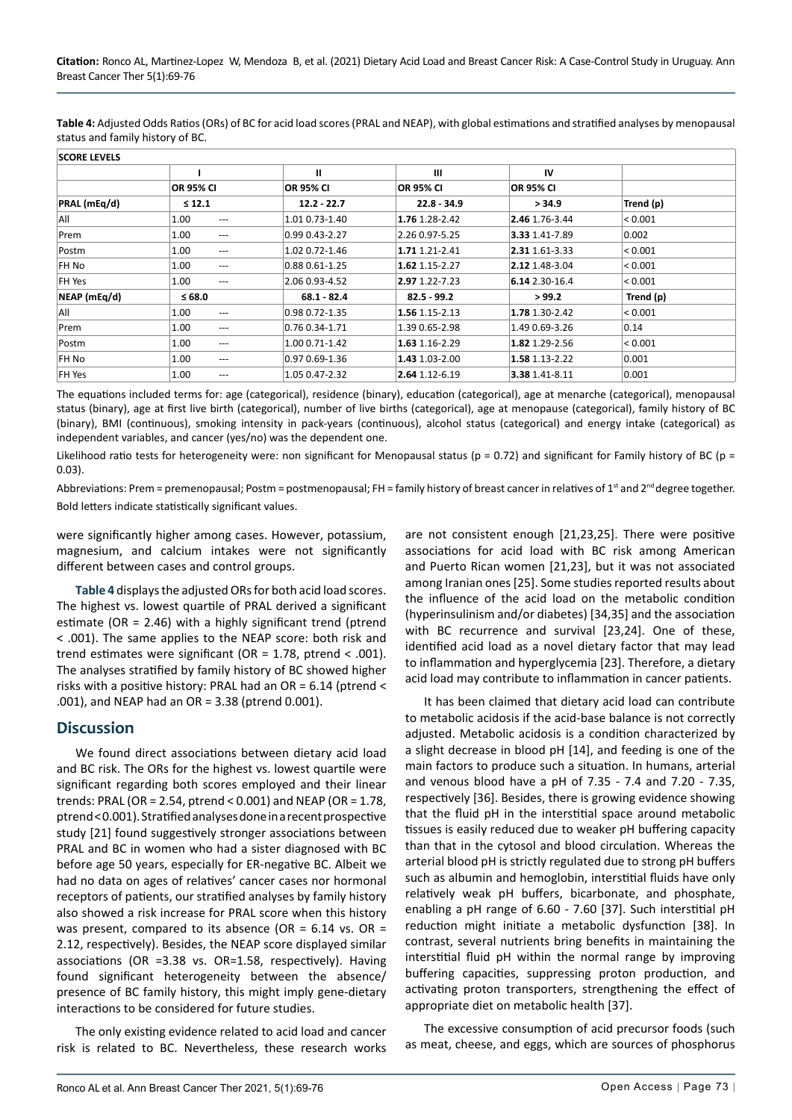<span id="page-4-0"></span>**Table 4:** Adjusted Odds Ratios (ORs) of BC for acid load scores (PRAL and NEAP), with global estimations and stratified analyses by menopausal status and family history of BC.

| <b>SCORE LEVELS</b> |                           |                   |                  |                  |             |  |
|---------------------|---------------------------|-------------------|------------------|------------------|-------------|--|
|                     |                           | $\mathbf{u}$      | Ш                | IV               |             |  |
|                     | <b>OR 95% CI</b>          | <b>OR 95% CI</b>  | <b>OR 95% CI</b> | <b>OR 95% CI</b> |             |  |
| PRAL (mEq/d)        | $\leq 12.1$               | $12.2 - 22.7$     | $22.8 - 34.9$    | > 34.9           | Trend (p)   |  |
| All                 | 1.00<br>$---$             | 1.01 0.73-1.40    | 1.76 1.28-2.42   | 2.46 1.76-3.44   | < 0.001     |  |
| Prem                | 1.00<br>$---$             | 0.99 0.43-2.27    | 2.26 0.97-5.25   | 3.33 1.41-7.89   | 0.002       |  |
| Postm               | 1.00<br>$---$             | 1.02 0.72-1.46    | 1.71 1.21-2.41   | 2.31 1.61-3.33   | < 0.001     |  |
| FH No               | 1.00<br>---               | 0.88 0.61-1.25    | 1.62 1.15-2.27   | 2.12 1.48-3.04   | $ $ < 0.001 |  |
| FH Yes              | 1.00<br>$---$             | 2.06 0.93-4.52    | 2.97 1.22-7.23   | 6.14 2.30-16.4   | < 0.001     |  |
| NEAP (mEq/d)        | $≤ 68.0$                  | 68.1 82.4         | 82.5 99.2        | > 99.2           | Trend (p)   |  |
| All                 | 1.00<br>$---$             | 0.98 0.72-1.35    | 1.56 1.15-2.13   | 1.78 1.30-2.42   | < 0.001     |  |
| Prem                | 1.00<br>$---$             | 0.76 0.34-1.71    | 1.39 0.65-2.98   | 1.49 0.69-3.26   | 0.14        |  |
| Postm               | 1.00<br>$\qquad \qquad -$ | 1.00 0.71-1.42    | 1.63 1.16-2.29   | 1.82 1.29-2.56   | < 0.001     |  |
| FH No               | 1.00<br>---               | $0.970.69 - 1.36$ | 1.43 1.03-2.00   | 1.58 1.13-2.22   | 0.001       |  |
| FH Yes              | 1.00<br>---               | 1.05 0.47-2.32    | 2.64 1.12-6.19   | 3.38 1.41-8.11   | 0.001       |  |

The equations included terms for: age (categorical), residence (binary), education (categorical), age at menarche (categorical), menopausal status (binary), age at first live birth (categorical), number of live births (categorical), age at menopause (categorical), family history of BC (binary), BMI (continuous), smoking intensity in pack-years (continuous), alcohol status (categorical) and energy intake (categorical) as independent variables, and cancer (yes/no) was the dependent one.

Likelihood ratio tests for heterogeneity were: non significant for Menopausal status ( $p = 0.72$ ) and significant for Family history of BC ( $p =$ 0.03).

Abbreviations: Prem = premenopausal; Postm = postmenopausal; FH = family history of breast cancer in relatives of 1<sup>st</sup> and  $2^{nd}$  degree together. Bold letters indicate statistically significant values.

were significantly higher among cases. However, potassium, magnesium, and calcium intakes were not significantly different between cases and control groups.

**[Table 4](#page-4-0)** displays the adjusted ORs for both acid load scores. The highest vs. lowest quartile of PRAL derived a significant estimate (OR = 2.46) with a highly significant trend (ptrend < .001). The same applies to the NEAP score: both risk and trend estimates were significant (OR = 1.78, ptrend < .001). The analyses stratified by family history of BC showed higher risks with a positive history: PRAL had an OR = 6.14 (ptrend < .001), and NEAP had an OR = 3.38 (ptrend 0.001).

#### **Discussion**

We found direct associations between dietary acid load and BC risk. The ORs for the highest vs. lowest quartile were significant regarding both scores employed and their linear trends: PRAL (OR = 2.54, ptrend < 0.001) and NEAP (OR = 1.78, ptrend < 0.001). Stratified analyses done in a recent prospective study [21] found suggestively stronger associations between PRAL and BC in women who had a sister diagnosed with BC before age 50 years, especially for ER-negative BC. Albeit we had no data on ages of relatives' cancer cases nor hormonal receptors of patients, our stratified analyses by family history also showed a risk increase for PRAL score when this history was present, compared to its absence (OR =  $6.14$  vs. OR = 2.12, respectively). Besides, the NEAP score displayed similar associations (OR =3.38 vs. OR=1.58, respectively). Having found significant heterogeneity between the absence/ presence of BC family history, this might imply gene-dietary interactions to be considered for future studies.

The only existing evidence related to acid load and cancer risk is related to BC. Nevertheless, these research works are not consistent enough [21,23,25]. There were positive associations for acid load with BC risk among American and Puerto Rican women [21,23], but it was not associated among Iranian ones [25]. Some studies reported results about the influence of the acid load on the metabolic condition (hyperinsulinism and/or diabetes) [34,35] and the association with BC recurrence and survival [23,24]. One of these, identified acid load as a novel dietary factor that may lead to inflammation and hyperglycemia [23]. Therefore, a dietary acid load may contribute to inflammation in cancer patients.

It has been claimed that dietary acid load can contribute to metabolic acidosis if the acid-base balance is not correctly adjusted. Metabolic acidosis is a condition characterized by a slight decrease in blood pH [14], and feeding is one of the main factors to produce such a situation. In humans, arterial and venous blood have a pH of 7.35 - 7.4 and 7.20 - 7.35, respectively [36]. Besides, there is growing evidence showing that the fluid pH in the interstitial space around metabolic tissues is easily reduced due to weaker pH buffering capacity than that in the cytosol and blood circulation. Whereas the arterial blood pH is strictly regulated due to strong pH buffers such as albumin and hemoglobin, interstitial fluids have only relatively weak pH buffers, bicarbonate, and phosphate, enabling a pH range of 6.60 - 7.60 [37]. Such interstitial pH reduction might initiate a metabolic dysfunction [38]. In contrast, several nutrients bring benefits in maintaining the interstitial fluid pH within the normal range by improving buffering capacities, suppressing proton production, and activating proton transporters, strengthening the effect of appropriate diet on metabolic health [37].

The excessive consumption of acid precursor foods (such as meat, cheese, and eggs, which are sources of phosphorus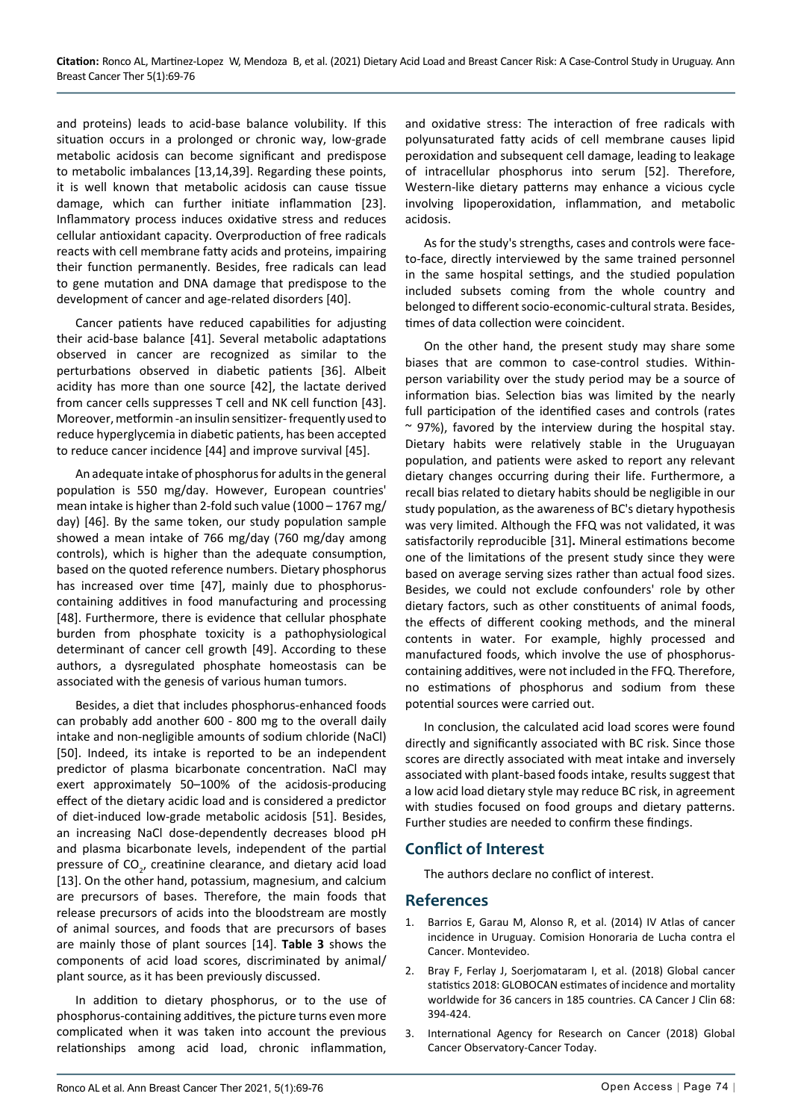and proteins) leads to acid-base balance volubility. If this situation occurs in a prolonged or chronic way, low-grade metabolic acidosis can become significant and predispose to metabolic imbalances [13,14,39]. Regarding these points, it is well known that metabolic acidosis can cause tissue damage, which can further initiate inflammation [23]. Inflammatory process induces oxidative stress and reduces cellular antioxidant capacity. Overproduction of free radicals reacts with cell membrane fatty acids and proteins, impairing their function permanently. Besides, free radicals can lead to gene mutation and DNA damage that predispose to the development of cancer and age-related disorders [40].

Cancer patients have reduced capabilities for adjusting their acid-base balance [41]. Several metabolic adaptations observed in cancer are recognized as similar to the perturbations observed in diabetic patients [36]. Albeit acidity has more than one source [42], the lactate derived from cancer cells suppresses T cell and NK cell function [43]. Moreover, metformin -an insulin sensitizer- frequently used to reduce hyperglycemia in diabetic patients, has been accepted to reduce cancer incidence [44] and improve survival [45].

An adequate intake of phosphorus for adults in the general population is 550 mg/day. However, European countries' mean intake is higher than 2-fold such value (1000 – 1767 mg/ day) [46]. By the same token, our study population sample showed a mean intake of 766 mg/day (760 mg/day among controls), which is higher than the adequate consumption, based on the quoted reference numbers. Dietary phosphorus has increased over time [47], mainly due to phosphoruscontaining additives in food manufacturing and processing [48]. Furthermore, there is evidence that cellular phosphate burden from phosphate toxicity is a pathophysiological determinant of cancer cell growth [49]. According to these authors, a dysregulated phosphate homeostasis can be associated with the genesis of various human tumors.

Besides, a diet that includes phosphorus-enhanced foods can probably add another 600 - 800 mg to the overall daily intake and non-negligible amounts of sodium chloride (NaCl) [50]. Indeed, its intake is reported to be an independent predictor of plasma bicarbonate concentration. NaCl may exert approximately 50–100% of the acidosis-producing effect of the dietary acidic load and is considered a predictor of diet-induced low-grade metabolic acidosis [51]. Besides, an increasing NaCl dose-dependently decreases blood pH and plasma bicarbonate levels, independent of the partial pressure of  $CO_{2'}$ , creatinine clearance, and dietary acid load [13]. On the other hand, potassium, magnesium, and calcium are precursors of bases. Therefore, the main foods that release precursors of acids into the bloodstream are mostly of animal sources, and foods that are precursors of bases are mainly those of plant sources [14]. **Table 3** shows the components of acid load scores, discriminated by animal/ plant source, as it has been previously discussed.

In addition to dietary phosphorus, or to the use of phosphorus-containing additives, the picture turns even more complicated when it was taken into account the previous relationships among acid load, chronic inflammation, and oxidative stress: The interaction of free radicals with polyunsaturated fatty acids of cell membrane causes lipid peroxidation and subsequent cell damage, leading to leakage of intracellular phosphorus into serum [52]. Therefore, Western-like dietary patterns may enhance a vicious cycle involving lipoperoxidation, inflammation, and metabolic acidosis.

As for the study's strengths, cases and controls were faceto-face, directly interviewed by the same trained personnel in the same hospital settings, and the studied population included subsets coming from the whole country and belonged to different socio-economic-cultural strata. Besides, times of data collection were coincident.

On the other hand, the present study may share some biases that are common to case-control studies. Withinperson variability over the study period may be a source of information bias. Selection bias was limited by the nearly full participation of the identified cases and controls (rates  $\sim$  97%), favored by the interview during the hospital stay. Dietary habits were relatively stable in the Uruguayan population, and patients were asked to report any relevant dietary changes occurring during their life. Furthermore, a recall bias related to dietary habits should be negligible in our study population, as the awareness of BC's dietary hypothesis was very limited. Although the FFQ was not validated, it was satisfactorily reproducible [31]**.** Mineral estimations become one of the limitations of the present study since they were based on average serving sizes rather than actual food sizes. Besides, we could not exclude confounders' role by other dietary factors, such as other constituents of animal foods, the effects of different cooking methods, and the mineral contents in water. For example, highly processed and manufactured foods, which involve the use of phosphoruscontaining additives, were not included in the FFQ. Therefore, no estimations of phosphorus and sodium from these potential sources were carried out.

In conclusion, the calculated acid load scores were found directly and significantly associated with BC risk. Since those scores are directly associated with meat intake and inversely associated with plant-based foods intake, results suggest that a low acid load dietary style may reduce BC risk, in agreement with studies focused on food groups and dietary patterns. Further studies are needed to confirm these findings.

### **Conflict of Interest**

The authors declare no conflict of interest.

### **References**

- 1. Barrios E, Garau M, Alonso R, et al. (2014) IV Atlas of cancer incidence in Uruguay. Comision Honoraria de Lucha contra el Cancer. Montevideo.
- 2. [Bray F, Ferlay J, Soerjomataram I, et al. \(2018\) Global cancer](https://pubmed.ncbi.nlm.nih.gov/30207593/)  [statistics 2018: GLOBOCAN estimates of incidence and mortality](https://pubmed.ncbi.nlm.nih.gov/30207593/)  [worldwide for 36 cancers in 185 countries. CA Cancer J Clin 68:](https://pubmed.ncbi.nlm.nih.gov/30207593/)  [394-424.](https://pubmed.ncbi.nlm.nih.gov/30207593/)
- 3. International Agency for Research on Cancer (2018) Global Cancer Observatory-Cancer Today.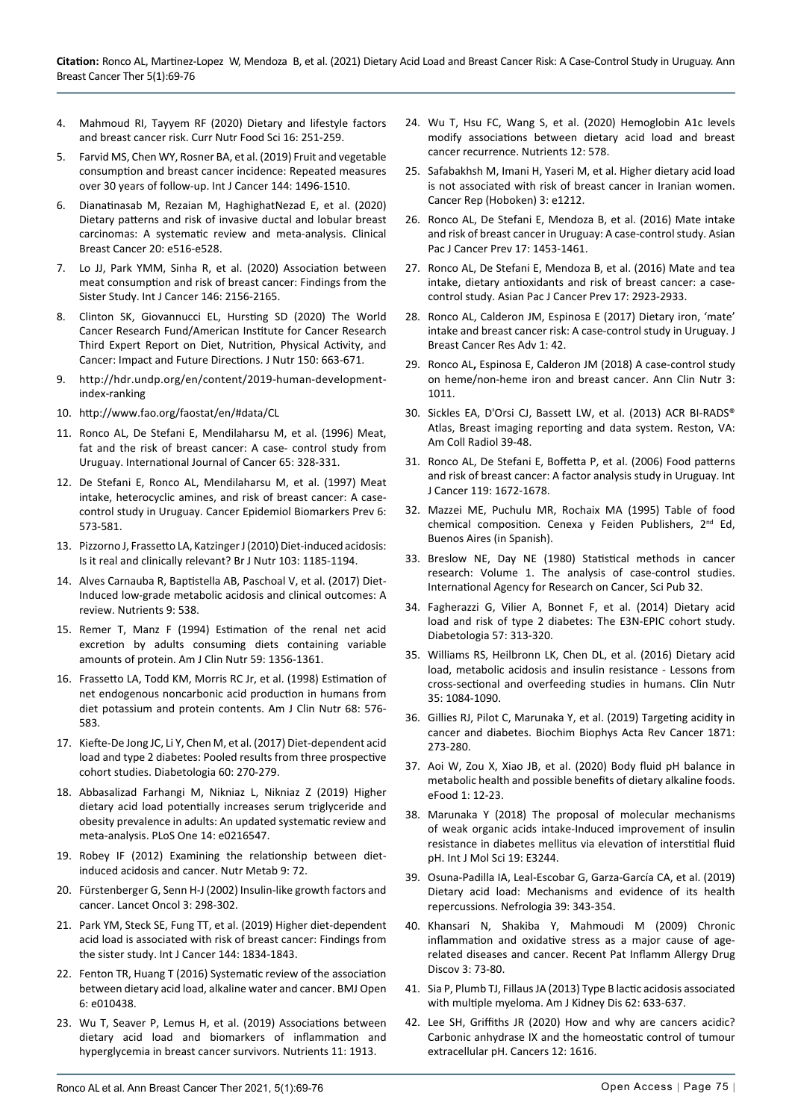- 4. [Mahmoud RI, Tay](https://www.ingentaconnect.com/search%3Bjsessionid%3Dxfa5w1zp8be2.x-ic-live-02?option2=author&value2=Mahmoud%2C%2BReema%2BI)yem RF (2020) Dietary and lifestyle factors and breast cancer risk. Curr Nutr Food Sci 16: 251-259.
- 5. Farvid MS, Chen WY, Rosner BA, et al. (2019) Fruit and vegetable consumption and breast cancer incidence: Repeated measures over 30 years of follow-up. Int J Cancer 144: 1496-1510.
- 6. [Dianatinasab M, Rezaian M, HaghighatNezad E, et al. \(2020\)](https://www.sciencedirect.com/science/article/abs/pii/S152682092030063X)  [Dietary patterns and risk of invasive ductal and lobular breast](https://www.sciencedirect.com/science/article/abs/pii/S152682092030063X)  [carcinomas: A systematic review and meta-analysis. Clinical](https://www.sciencedirect.com/science/article/abs/pii/S152682092030063X)  [Breast Cancer 20: e516-e528.](https://www.sciencedirect.com/science/article/abs/pii/S152682092030063X)
- 7. Lo JJ, Park YMM, Sinha R, et al. (2020) Association between meat consumption and risk of breast cancer: Findings from the Sister Study. Int J Cancer 146: 2156-2165.
- 8. Clinton SK, Giovannucci EL, Hursting SD (2020) The World Cancer Research Fund/American Institute for Cancer Research Third Expert Report on Diet, Nutrition, Physical Activity, and Cancer: Impact and Future Directions. J Nutr 150: 663-671.
- 9. [http://hdr.undp.org/en/content/2019-human-development](http://hdr.undp.org/en/content/2019-human-development-index-ranking)[index-ranking](http://hdr.undp.org/en/content/2019-human-development-index-ranking)
- 10. <http://www.fao.org/faostat/en/#data/CL>
- 11. [Ronco AL, De Stefani E, Mendilaharsu M, et al. \(1996\) Meat,](http://europepmc.org/article/MED/8575853)  [fat and the risk of breast cancer: A case- control study from](http://europepmc.org/article/MED/8575853)  [Uruguay. International Journal of Cancer 65: 328-331.](http://europepmc.org/article/MED/8575853)
- 12. [De Stefani E, Ronco AL, Mendilaharsu M, et al. \(1997\) Meat](https://pubmed.ncbi.nlm.nih.gov/9264269/)  [intake, heterocyclic amines, and risk of breast cancer: A case](https://pubmed.ncbi.nlm.nih.gov/9264269/)[control study in Uruguay. Cancer Epidemiol Biomarkers Prev 6:](https://pubmed.ncbi.nlm.nih.gov/9264269/)  [573-581.](https://pubmed.ncbi.nlm.nih.gov/9264269/)
- 13. [Pizzorno J, Frassetto LA, Katzinger J \(2010\) Diet-induced acidosis:](https://pubmed.ncbi.nlm.nih.gov/20003625/)  [Is it real and clinically relevant? Br J Nutr 103: 1185-1194.](https://pubmed.ncbi.nlm.nih.gov/20003625/)
- 14. [Alves Carnauba R, Baptistella AB, Paschoal V, et al. \(2017\) Diet-](https://pubmed.ncbi.nlm.nih.gov/28587067/)[Induced low-grade metabolic acidosis and clinical outcomes: A](https://pubmed.ncbi.nlm.nih.gov/28587067/)  [review. Nutrients 9: 538.](https://pubmed.ncbi.nlm.nih.gov/28587067/)
- 15. [Remer T, Manz F \(1994\) Estimation of the renal net acid](https://pubmed.ncbi.nlm.nih.gov/8198060/)  [excretion by adults consuming diets containing variable](https://pubmed.ncbi.nlm.nih.gov/8198060/)  [amounts of protein. Am J Clin Nutr 59: 1356-1361.](https://pubmed.ncbi.nlm.nih.gov/8198060/)
- 16. [Frassetto LA, Todd KM, Morris RC Jr, et al. \(1998\) Estimation of](https://pubmed.ncbi.nlm.nih.gov/9734733/)  [net endogenous noncarbonic acid production in humans from](https://pubmed.ncbi.nlm.nih.gov/9734733/)  [diet potassium and protein contents. Am J Clin Nutr 68: 576-](https://pubmed.ncbi.nlm.nih.gov/9734733/) [583.](https://pubmed.ncbi.nlm.nih.gov/9734733/)
- 17. [Kiefte-De Jong JC, Li Y, Chen M, et al. \(2017\) Diet-dependent acid](https://pubmed.ncbi.nlm.nih.gov/27858141/)  [load and type 2 diabetes: Pooled results from three prospective](https://pubmed.ncbi.nlm.nih.gov/27858141/)  [cohort studies. Diabetologia 60: 270-279.](https://pubmed.ncbi.nlm.nih.gov/27858141/)
- 18. [Abbasalizad Farhangi M, Nikniaz L, Nikniaz Z \(2019\) Higher](https://www.ncbi.nlm.nih.gov/pmc/articles/PMC6508739/)  [dietary acid load potentially increases serum triglyceride and](https://www.ncbi.nlm.nih.gov/pmc/articles/PMC6508739/)  [obesity prevalence in adults: An updated systematic review and](https://www.ncbi.nlm.nih.gov/pmc/articles/PMC6508739/)  [meta-analysis. PLoS One 14: e0216547.](https://www.ncbi.nlm.nih.gov/pmc/articles/PMC6508739/)
- 19. [Robey IF \(2012\) Examining the relationship between diet](https://pubmed.ncbi.nlm.nih.gov/22853725/)[induced acidosis and cancer. Nutr Metab 9: 72.](https://pubmed.ncbi.nlm.nih.gov/22853725/)
- 20. [Fürstenberger G, Senn H-J \(2002\) Insulin-like growth factors and](https://www.sciencedirect.com/science/article/abs/pii/S1470204502007313)  [cancer. Lancet Oncol 3: 298-302.](https://www.sciencedirect.com/science/article/abs/pii/S1470204502007313)
- 21. [Park YM, Steck SE, Fung TT, et al. \(2019\) Higher diet-dependent](https://pubmed.ncbi.nlm.nih.gov/30247761/)  [acid load is associated with risk of breast cancer: Findings from](https://pubmed.ncbi.nlm.nih.gov/30247761/)  [the sister study. Int J Cancer 144: 1834-1843.](https://pubmed.ncbi.nlm.nih.gov/30247761/)
- 22. [Fenton TR, Huang T \(2016\) Systematic review of the association](https://pubmed.ncbi.nlm.nih.gov/27297008/)  [between dietary acid load, alkaline water and cancer. BMJ Open](https://pubmed.ncbi.nlm.nih.gov/27297008/)  [6: e010438.](https://pubmed.ncbi.nlm.nih.gov/27297008/)
- 23. [Wu T, Seaver P, Lemus H, et al. \(2019\) Associations between](https://pubmed.ncbi.nlm.nih.gov/31443226/)  [dietary acid load and biomarkers of inflammation and](https://pubmed.ncbi.nlm.nih.gov/31443226/)  [hyperglycemia in breast cancer survivors. Nutrients 11: 1913.](https://pubmed.ncbi.nlm.nih.gov/31443226/)
- 24. [Wu T, Hsu FC, Wang S, et al. \(2020\) Hemoglobin A1c levels](https://www.mdpi.com/2072-6643/12/2/578/htm)  [modify associations between dietary acid load and breast](https://www.mdpi.com/2072-6643/12/2/578/htm)  [cancer recurrence. Nutrients 12: 578.](https://www.mdpi.com/2072-6643/12/2/578/htm)
- 25. Safabakhsh M, Imani H, Yaseri M, et al. Higher dietary acid load is not associated with risk of breast cancer in Iranian women. Cancer Rep (Hoboken) 3: e1212.
- 26. [Ronco AL, De Stefani E, Mendoza B, et al. \(2016\) Mate intake](https://pubmed.ncbi.nlm.nih.gov/27039789/)  [and risk of breast cancer in Uruguay: A case-control study. Asian](https://pubmed.ncbi.nlm.nih.gov/27039789/)  [Pac J Cancer Prev 17: 1453-1461.](https://pubmed.ncbi.nlm.nih.gov/27039789/)
- 27. Ronco AL, De Stefani E, Mendoza B, et al. (2016) Mate and tea intake, dietary antioxidants and risk of breast cancer: a casecontrol study. Asian Pac J Cancer Prev 17: 2923-2933.
- 28. Ronco AL, Calderon JM, Espinosa E (2017) Dietary iron, 'mate' intake and breast cancer risk: A case-control study in Uruguay. J Breast Cancer Res Adv 1: 42.
- 29. Ronco AL**,** Espinosa E, Calderon JM (2018) A case-control study on heme/non-heme iron and breast cancer. Ann Clin Nutr 3: 1011.
- 30. Sickles EA, D'Orsi CJ, Bassett LW, et al. (2013) ACR BI-RADS® Atlas, Breast imaging reporting and data system. Reston, VA: Am Coll Radiol 39-48.
- 31. [Ronco AL, De Stefani E, Boffetta P, et al. \(2006\) Food patterns](https://pubmed.ncbi.nlm.nih.gov/16708380/)  [and risk of breast cancer: A factor analysis study in Uruguay. Int](https://pubmed.ncbi.nlm.nih.gov/16708380/)  [J Cancer 119: 1672-1678.](https://pubmed.ncbi.nlm.nih.gov/16708380/)
- 32. Mazzei ME, Puchulu MR, Rochaix MA (1995) Table of food chemical composition. Cenexa y Feiden Publishers, 2<sup>nd</sup> Ed, Buenos Aires (in Spanish).
- 33. Breslow NE, Day NE (1980) Statistical methods in cancer research: Volume 1. The analysis of case-control studies. International Agency for Research on Cancer, Sci Pub 32.
- 34. [Fagherazzi G, Vilier A, Bonnet F, et al. \(2014\) Dietary acid](https://pubmed.ncbi.nlm.nih.gov/24232975/)  [load and risk of type 2 diabetes: The E3N-EPIC cohort study.](https://pubmed.ncbi.nlm.nih.gov/24232975/)  [Diabetologia 57: 313-320.](https://pubmed.ncbi.nlm.nih.gov/24232975/)
- 35. [Williams RS, Heilbronn LK, Chen DL, et al. \(2016\) Dietary acid](https://pubmed.ncbi.nlm.nih.gov/26299332/)  [load, metabolic acidosis and insulin resistance - Lessons from](https://pubmed.ncbi.nlm.nih.gov/26299332/)  [cross-sectional and overfeeding studies in humans. Clin Nutr](https://pubmed.ncbi.nlm.nih.gov/26299332/)  [35: 1084-1090.](https://pubmed.ncbi.nlm.nih.gov/26299332/)
- 36. [Gillies RJ, Pilot C, Marunaka Y, et al. \(2019\) Targeting acidity in](https://pubmed.ncbi.nlm.nih.gov/30708040/)  [cancer and diabetes. Biochim Biophys Acta Rev Cancer 1871:](https://pubmed.ncbi.nlm.nih.gov/30708040/)  [273-280.](https://pubmed.ncbi.nlm.nih.gov/30708040/)
- 37. Aoi W, Zou X, Xiao JB, et al. (2020) Body fluid pH balance in metabolic health and possible benefits of dietary alkaline foods. eFood 1: 12-23.
- 38. [Marunaka Y \(2018\) The proposal of molecular mechanisms](https://pubmed.ncbi.nlm.nih.gov/30347717/)  [of weak organic acids intake-Induced improvement of insulin](https://pubmed.ncbi.nlm.nih.gov/30347717/)  [resistance in diabetes mellitus via elevation of interstitial fluid](https://pubmed.ncbi.nlm.nih.gov/30347717/)  [pH. Int J Mol Sci 19: E3244.](https://pubmed.ncbi.nlm.nih.gov/30347717/)
- 39. [Osuna-Padilla IA, Leal-Escobar G, Garza-García CA, et al. \(2019\)](https://pubmed.ncbi.nlm.nih.gov/30737117/)  [Dietary acid load: Mechanisms and evidence of its health](https://pubmed.ncbi.nlm.nih.gov/30737117/)  [repercussions. Nefrologia 39: 343-354.](https://pubmed.ncbi.nlm.nih.gov/30737117/)
- 40. [Khansari N, Shakiba Y, Mahmoudi M \(2009\) Chronic](https://pubmed.ncbi.nlm.nih.gov/19149749/)  [inflammation and oxidative stress as a major cause of age](https://pubmed.ncbi.nlm.nih.gov/19149749/)[related diseases and cancer. Recent Pat Inflamm Allergy Drug](https://pubmed.ncbi.nlm.nih.gov/19149749/)  [Discov 3: 73-80.](https://pubmed.ncbi.nlm.nih.gov/19149749/)
- 41. [Sia P, Plumb TJ, Fillaus JA \(2013\) Type B lactic acidosis associated](https://pubmed.ncbi.nlm.nih.gov/23759296/)  [with multiple myeloma. Am J Kidney Dis 62: 633-637.](https://pubmed.ncbi.nlm.nih.gov/23759296/)
- 42. [Lee SH, Griffiths JR \(2020\) How and why are cancers acidic?](https://www.mdpi.com/2072-6694/12/6/1616)  [Carbonic anhydrase IX and the homeostatic control of tumour](https://www.mdpi.com/2072-6694/12/6/1616)  [extracellular pH. Cancers 12: 1616.](https://www.mdpi.com/2072-6694/12/6/1616)